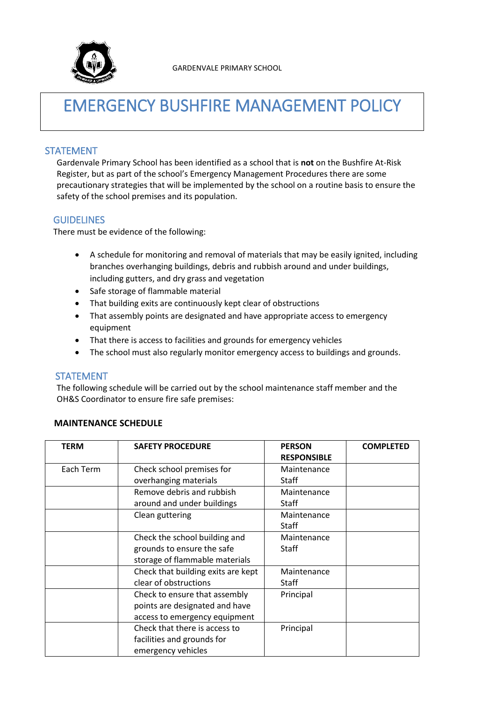

# EMERGENCY BUSHFIRE MANAGEMENT POLICY

### STATEMENT

Gardenvale Primary School has been identified as a school that is **not** on the Bushfire At-Risk Register, but as part of the school's Emergency Management Procedures there are some precautionary strategies that will be implemented by the school on a routine basis to ensure the safety of the school premises and its population.

#### GUIDELINES

There must be evidence of the following:

- A schedule for monitoring and removal of materials that may be easily ignited, including branches overhanging buildings, debris and rubbish around and under buildings, including gutters, and dry grass and vegetation
- Safe storage of flammable material
- That building exits are continuously kept clear of obstructions
- That assembly points are designated and have appropriate access to emergency equipment
- That there is access to facilities and grounds for emergency vehicles
- The school must also regularly monitor emergency access to buildings and grounds.

## STATEMENT

The following schedule will be carried out by the school maintenance staff member and the OH&S Coordinator to ensure fire safe premises:

#### **MAINTENANCE SCHEDULE**

| <b>TERM</b> | <b>SAFETY PROCEDURE</b>            | <b>PERSON</b>      | <b>COMPLETED</b> |
|-------------|------------------------------------|--------------------|------------------|
|             |                                    | <b>RESPONSIBLE</b> |                  |
| Each Term   | Check school premises for          | Maintenance        |                  |
|             | overhanging materials              | Staff              |                  |
|             | Remove debris and rubbish          | Maintenance        |                  |
|             | around and under buildings         | Staff              |                  |
|             | Clean guttering                    | Maintenance        |                  |
|             |                                    | <b>Staff</b>       |                  |
|             | Check the school building and      | Maintenance        |                  |
|             | grounds to ensure the safe         | <b>Staff</b>       |                  |
|             | storage of flammable materials     |                    |                  |
|             | Check that building exits are kept | Maintenance        |                  |
|             | clear of obstructions              | Staff              |                  |
|             | Check to ensure that assembly      | Principal          |                  |
|             | points are designated and have     |                    |                  |
|             | access to emergency equipment      |                    |                  |
|             | Check that there is access to      | Principal          |                  |
|             | facilities and grounds for         |                    |                  |
|             | emergency vehicles                 |                    |                  |